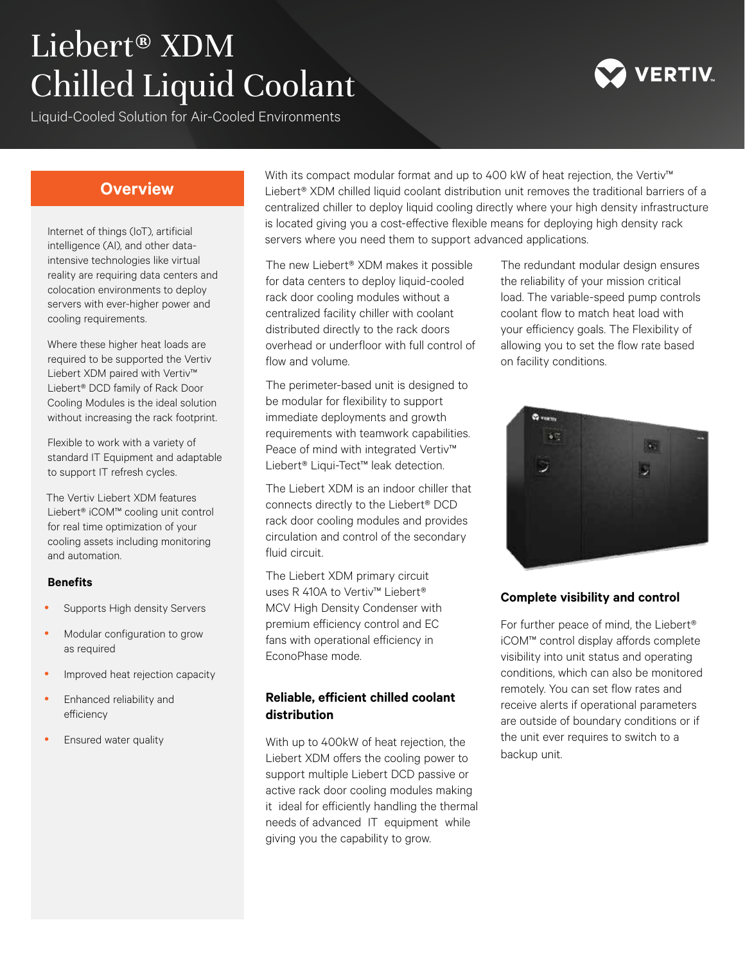# Liebert® XDM Chilled Liquid Coolant

Liquid-Cooled Solution for Air-Cooled Environments



# **Overview**

Internet of things (IoT), artificial intelligence (AI), and other dataintensive technologies like virtual reality are requiring data centers and colocation environments to deploy servers with ever-higher power and cooling requirements.

Where these higher heat loads are required to be supported the Vertiv Liebert XDM paired with Vertiv™ Liebert® DCD family of Rack Door Cooling Modules is the ideal solution without increasing the rack footprint.

Flexible to work with a variety of standard IT Equipment and adaptable to support IT refresh cycles.

The Vertiv Liebert XDM features Liebert® iCOM™ cooling unit control for real time optimization of your cooling assets including monitoring and automation.

#### **Benefits**

- Supports High density Servers
- Modular configuration to grow as required
- Improved heat rejection capacity
- Enhanced reliability and efficiency
- Ensured water quality

With its compact modular format and up to 400 kW of heat rejection, the Vertiv™ Liebert<sup>®</sup> XDM chilled liquid coolant distribution unit removes the traditional barriers of a centralized chiller to deploy liquid cooling directly where your high density infrastructure is located giving you a cost-effective flexible means for deploying high density rack servers where you need them to support advanced applications.

The new Liebert® XDM makes it possible for data centers to deploy liquid-cooled rack door cooling modules without a centralized facility chiller with coolant distributed directly to the rack doors overhead or underfloor with full control of flow and volume.

The perimeter-based unit is designed to be modular for flexibility to support immediate deployments and growth requirements with teamwork capabilities. Peace of mind with integrated Vertiv™ Liebert® Liqui-Tect™ leak detection.

The Liebert XDM is an indoor chiller that connects directly to the Liebert® DCD rack door cooling modules and provides circulation and control of the secondary fluid circuit.

The Liebert XDM primary circuit uses R 410A to Vertiv™ Liebert® MCV High Density Condenser with premium efficiency control and EC fans with operational efficiency in EconoPhase mode.

#### **Reliable, efficient chilled coolant distribution**

With up to 400kW of heat rejection, the Liebert XDM offers the cooling power to support multiple Liebert DCD passive or active rack door cooling modules making it ideal for efficiently handling the thermal needs of advanced IT equipment while giving you the capability to grow.

The redundant modular design ensures the reliability of your mission critical load. The variable-speed pump controls coolant flow to match heat load with your efficiency goals. The Flexibility of allowing you to set the flow rate based on facility conditions.



## **Complete visibility and control**

For further peace of mind, the Liebert® iCOM™ control display affords complete visibility into unit status and operating conditions, which can also be monitored remotely. You can set flow rates and receive alerts if operational parameters are outside of boundary conditions or if the unit ever requires to switch to a backup unit.